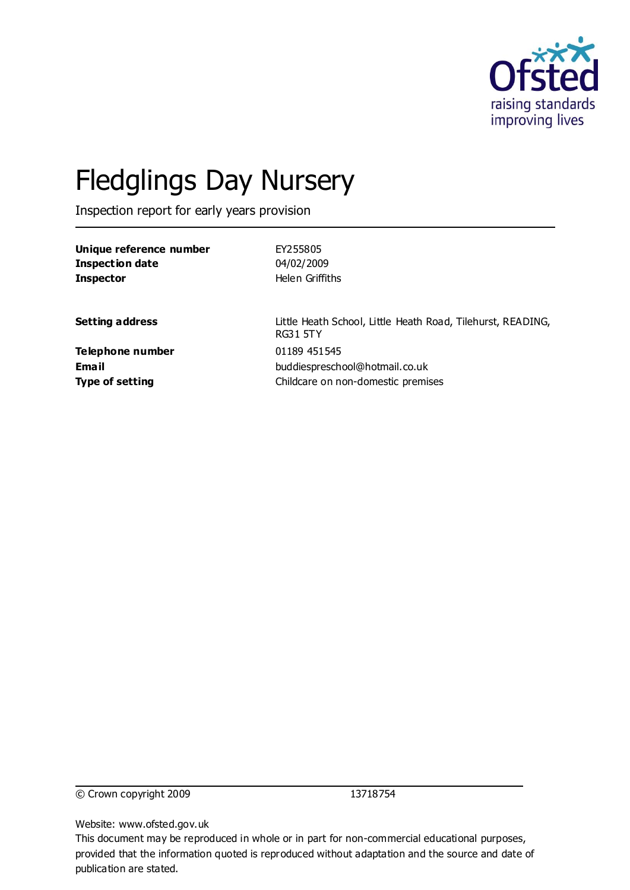

# Fledglings Day Nursery

Inspection report for early years provision

| Unique reference number | EY255805                                                                       |
|-------------------------|--------------------------------------------------------------------------------|
| <b>Inspection date</b>  | 04/02/2009                                                                     |
| <b>Inspector</b>        | Helen Griffiths                                                                |
|                         |                                                                                |
| <b>Setting address</b>  | Little Heath School, Little Heath Road, Tilehurst, READING,<br><b>RG31 5TY</b> |
| Telephone number        | 01189 451545                                                                   |
| <b>Email</b>            | buddiespreschool@hotmail.co.uk                                                 |
| <b>Type of setting</b>  | Childcare on non-domestic premises                                             |
|                         |                                                                                |

© Crown copyright 2009 13718754

Website: www.ofsted.gov.uk

This document may be reproduced in whole or in part for non-commercial educational purposes, provided that the information quoted is reproduced without adaptation and the source and date of publication are stated.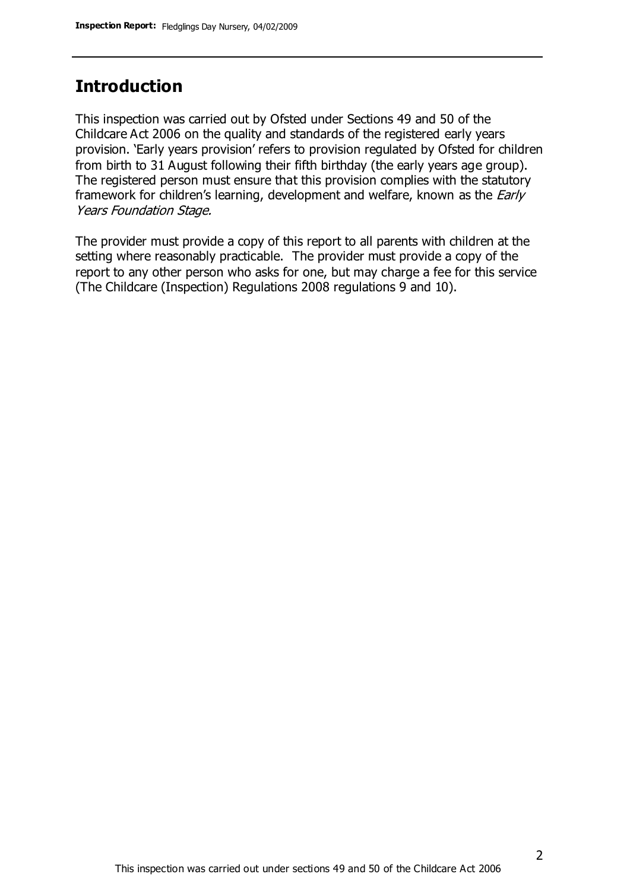### **Introduction**

This inspection was carried out by Ofsted under Sections 49 and 50 of the Childcare Act 2006 on the quality and standards of the registered early years provision. 'Early years provision' refers to provision regulated by Ofsted for children from birth to 31 August following their fifth birthday (the early years age group). The registered person must ensure that this provision complies with the statutory framework for children's learning, development and welfare, known as the *Early* Years Foundation Stage.

The provider must provide a copy of this report to all parents with children at the setting where reasonably practicable. The provider must provide a copy of the report to any other person who asks for one, but may charge a fee for this service (The Childcare (Inspection) Regulations 2008 regulations 9 and 10).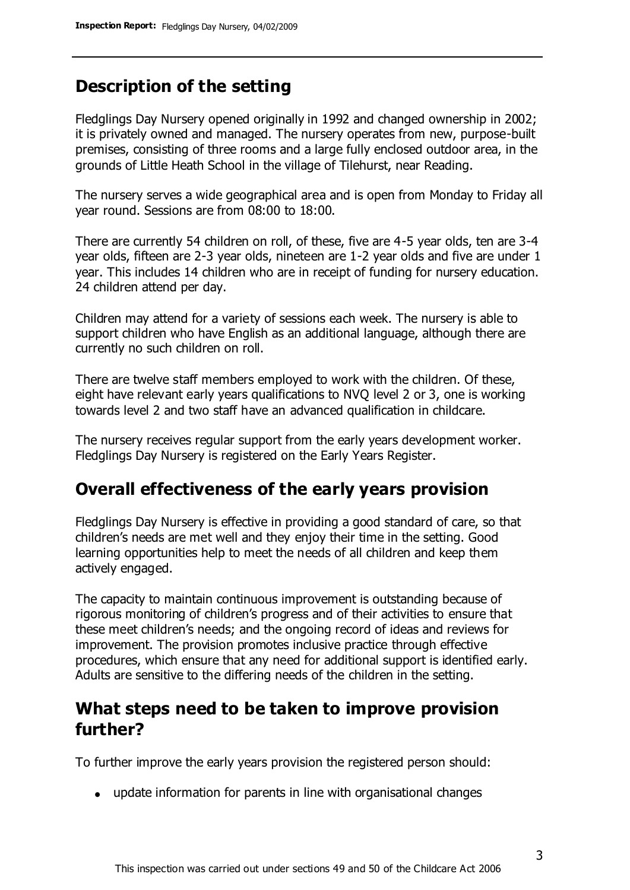### **Description of the setting**

Fledglings Day Nursery opened originally in 1992 and changed ownership in 2002; it is privately owned and managed. The nursery operates from new, purpose-built premises, consisting of three rooms and a large fully enclosed outdoor area, in the grounds of Little Heath School in the village of Tilehurst, near Reading.

The nursery serves a wide geographical area and is open from Monday to Friday all year round. Sessions are from 08:00 to 18:00.

There are currently 54 children on roll, of these, five are 4-5 year olds, ten are 3-4 year olds, fifteen are 2-3 year olds, nineteen are 1-2 year olds and five are under 1 year. This includes 14 children who are in receipt of funding for nursery education. 24 children attend per day.

Children may attend for a variety of sessions each week. The nursery is able to support children who have English as an additional language, although there are currently no such children on roll.

There are twelve staff members employed to work with the children. Of these, eight have relevant early years qualifications to NVQ level 2 or 3, one is working towards level 2 and two staff have an advanced qualification in childcare.

The nursery receives regular support from the early years development worker. Fledglings Day Nursery is registered on the Early Years Register.

#### **Overall effectiveness of the early years provision**

Fledglings Day Nursery is effective in providing a good standard of care, so that children's needs are met well and they enjoy their time in the setting. Good learning opportunities help to meet the needs of all children and keep them actively engaged.

The capacity to maintain continuous improvement is outstanding because of rigorous monitoring of children's progress and of their activities to ensure that these meet children's needs; and the ongoing record of ideas and reviews for improvement. The provision promotes inclusive practice through effective procedures, which ensure that any need for additional support is identified early. Adults are sensitive to the differing needs of the children in the setting.

#### **What steps need to be taken to improve provision further?**

To further improve the early years provision the registered person should:

update information for parents in line with organisational changes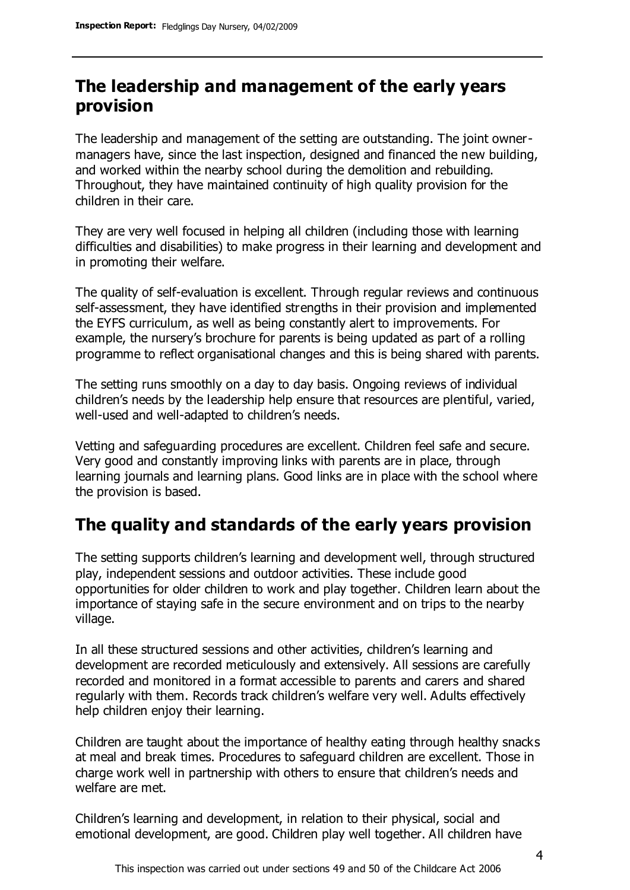#### **The leadership and management of the early years provision**

The leadership and management of the setting are outstanding. The joint ownermanagers have, since the last inspection, designed and financed the new building, and worked within the nearby school during the demolition and rebuilding. Throughout, they have maintained continuity of high quality provision for the children in their care.

They are very well focused in helping all children (including those with learning difficulties and disabilities) to make progress in their learning and development and in promoting their welfare.

The quality of self-evaluation is excellent. Through regular reviews and continuous self-assessment, they have identified strengths in their provision and implemented the EYFS curriculum, as well as being constantly alert to improvements. For example, the nursery's brochure for parents is being updated as part of a rolling programme to reflect organisational changes and this is being shared with parents.

The setting runs smoothly on a day to day basis. Ongoing reviews of individual children's needs by the leadership help ensure that resources are plentiful, varied, well-used and well-adapted to children's needs.

Vetting and safeguarding procedures are excellent. Children feel safe and secure. Very good and constantly improving links with parents are in place, through learning journals and learning plans. Good links are in place with the school where the provision is based.

## **The quality and standards of the early years provision**

The setting supports children's learning and development well, through structured play, independent sessions and outdoor activities. These include good opportunities for older children to work and play together. Children learn about the importance of staying safe in the secure environment and on trips to the nearby village.

In all these structured sessions and other activities, children's learning and development are recorded meticulously and extensively. All sessions are carefully recorded and monitored in a format accessible to parents and carers and shared regularly with them. Records track children's welfare very well. Adults effectively help children enjoy their learning.

Children are taught about the importance of healthy eating through healthy snacks at meal and break times. Procedures to safeguard children are excellent. Those in charge work well in partnership with others to ensure that children's needs and welfare are met.

Children's learning and development, in relation to their physical, social and emotional development, are good. Children play well together. All children have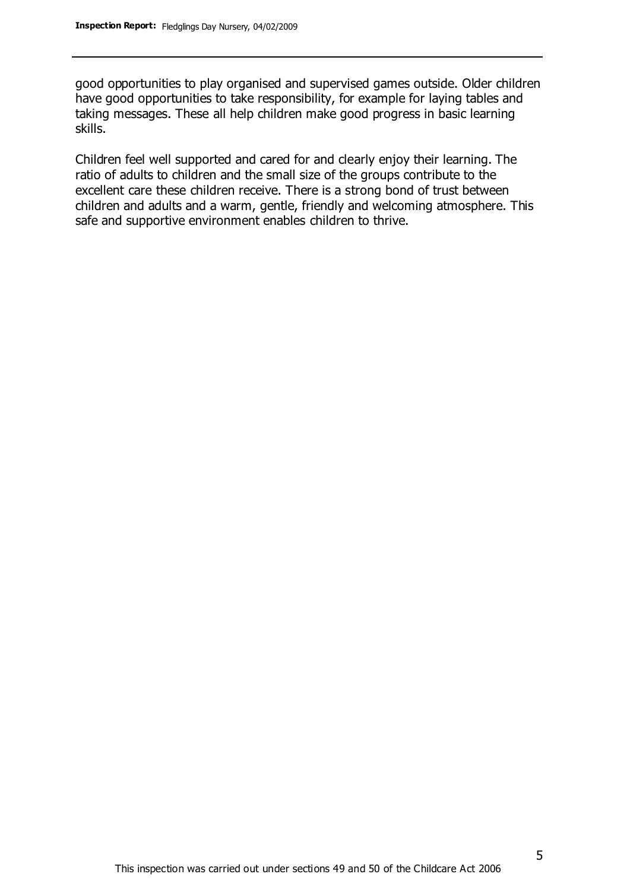good opportunities to play organised and supervised games outside. Older children have good opportunities to take responsibility, for example for laying tables and taking messages. These all help children make good progress in basic learning skills.

Children feel well supported and cared for and clearly enjoy their learning. The ratio of adults to children and the small size of the groups contribute to the excellent care these children receive. There is a strong bond of trust between children and adults and a warm, gentle, friendly and welcoming atmosphere. This safe and supportive environment enables children to thrive.